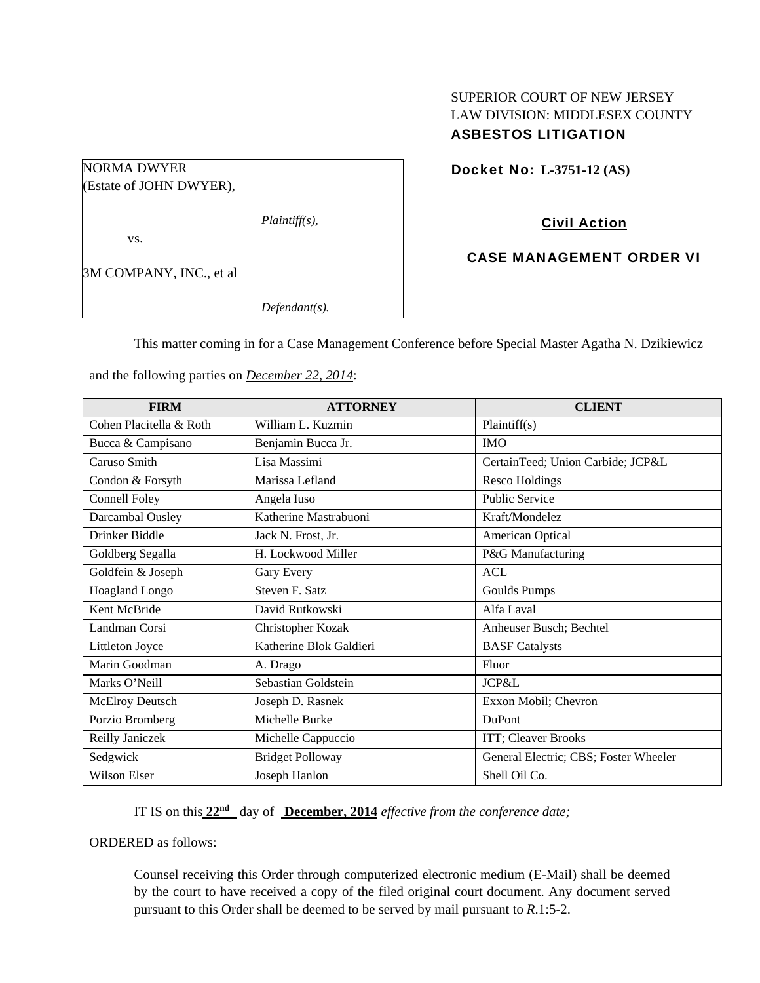# SUPERIOR COURT OF NEW JERSEY LAW DIVISION: MIDDLESEX COUNTY ASBESTOS LITIGATION

Docket No: **L-3751-12 (AS)** 

(Estate of JOHN DWYER),

*Plaintiff(s),* 

vs.

NORMA DWYER

3M COMPANY, INC., et al

*Defendant(s).* 

Civil Action

CASE MANAGEMENT ORDER VI

This matter coming in for a Case Management Conference before Special Master Agatha N. Dzikiewicz

and the following parties on *December 22, 2014*:

| <b>FIRM</b>             | <b>ATTORNEY</b>         | <b>CLIENT</b>                         |
|-------------------------|-------------------------|---------------------------------------|
| Cohen Placitella & Roth | William L. Kuzmin       | Plaintiff(s)                          |
| Bucca & Campisano       | Benjamin Bucca Jr.      | <b>IMO</b>                            |
| Caruso Smith            | Lisa Massimi            | CertainTeed; Union Carbide; JCP&L     |
| Condon & Forsyth        | Marissa Lefland         | <b>Resco Holdings</b>                 |
| <b>Connell Foley</b>    | Angela Iuso             | <b>Public Service</b>                 |
| Darcambal Ousley        | Katherine Mastrabuoni   | Kraft/Mondelez                        |
| Drinker Biddle          | Jack N. Frost, Jr.      | American Optical                      |
| Goldberg Segalla        | H. Lockwood Miller      | P&G Manufacturing                     |
| Goldfein & Joseph       | Gary Every              | <b>ACL</b>                            |
| Hoagland Longo          | Steven F. Satz          | <b>Goulds Pumps</b>                   |
| Kent McBride            | David Rutkowski         | Alfa Laval                            |
| Landman Corsi           | Christopher Kozak       | Anheuser Busch; Bechtel               |
| Littleton Joyce         | Katherine Blok Galdieri | <b>BASF</b> Catalysts                 |
| Marin Goodman           | A. Drago                | Fluor                                 |
| Marks O'Neill           | Sebastian Goldstein     | JCP&L                                 |
| <b>McElroy Deutsch</b>  | Joseph D. Rasnek        | Exxon Mobil; Chevron                  |
| Porzio Bromberg         | Michelle Burke          | <b>DuPont</b>                         |
| Reilly Janiczek         | Michelle Cappuccio      | ITT; Cleaver Brooks                   |
| Sedgwick                | <b>Bridget Polloway</b> | General Electric; CBS; Foster Wheeler |
| Wilson Elser            | Joseph Hanlon           | Shell Oil Co.                         |

IT IS on this **22nd** day of **December, 2014** *effective from the conference date;*

ORDERED as follows:

Counsel receiving this Order through computerized electronic medium (E-Mail) shall be deemed by the court to have received a copy of the filed original court document. Any document served pursuant to this Order shall be deemed to be served by mail pursuant to *R*.1:5-2.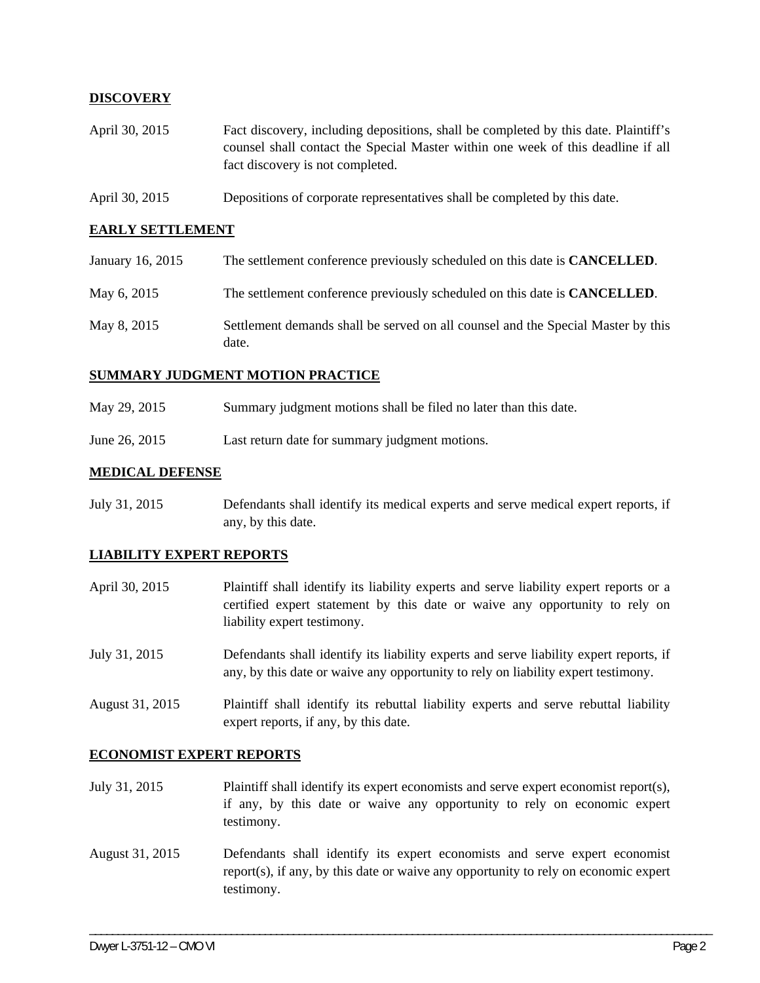# **DISCOVERY**

- April 30, 2015 Fact discovery, including depositions, shall be completed by this date. Plaintiff's counsel shall contact the Special Master within one week of this deadline if all fact discovery is not completed.
- April 30, 2015 Depositions of corporate representatives shall be completed by this date.

## **EARLY SETTLEMENT**

| January 16, 2015 | The settlement conference previously scheduled on this date is <b>CANCELLED</b> .         |
|------------------|-------------------------------------------------------------------------------------------|
| May 6, 2015      | The settlement conference previously scheduled on this date is <b>CANCELLED</b> .         |
| May 8, 2015      | Settlement demands shall be served on all counsel and the Special Master by this<br>date. |

## **SUMMARY JUDGMENT MOTION PRACTICE**

- May 29, 2015 Summary judgment motions shall be filed no later than this date.
- June 26, 2015 Last return date for summary judgment motions.

## **MEDICAL DEFENSE**

July 31, 2015 Defendants shall identify its medical experts and serve medical expert reports, if any, by this date.

#### **LIABILITY EXPERT REPORTS**

- April 30, 2015 Plaintiff shall identify its liability experts and serve liability expert reports or a certified expert statement by this date or waive any opportunity to rely on liability expert testimony.
- July 31, 2015 Defendants shall identify its liability experts and serve liability expert reports, if any, by this date or waive any opportunity to rely on liability expert testimony.
- August 31, 2015 Plaintiff shall identify its rebuttal liability experts and serve rebuttal liability expert reports, if any, by this date.

#### **ECONOMIST EXPERT REPORTS**

- July 31, 2015 Plaintiff shall identify its expert economists and serve expert economist report(s), if any, by this date or waive any opportunity to rely on economic expert testimony.
- August 31, 2015 Defendants shall identify its expert economists and serve expert economist report(s), if any, by this date or waive any opportunity to rely on economic expert testimony.

\_\_\_\_\_\_\_\_\_\_\_\_\_\_\_\_\_\_\_\_\_\_\_\_\_\_\_\_\_\_\_\_\_\_\_\_\_\_\_\_\_\_\_\_\_\_\_\_\_\_\_\_\_\_\_\_\_\_\_\_\_\_\_\_\_\_\_\_\_\_\_\_\_\_\_\_\_\_\_\_\_\_\_\_\_\_\_\_\_\_\_\_\_\_\_\_\_\_\_\_\_\_\_\_\_\_\_\_\_\_